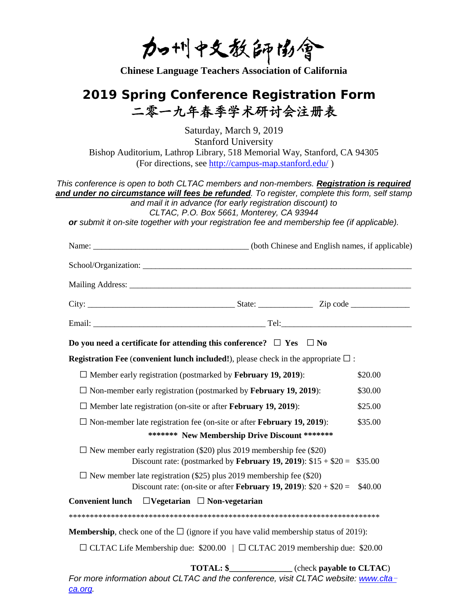力咖啡文教師協會

**Chinese Language Teachers Association of California**

## **2019 Spring Conference Registration Form** 二零一九年春季学术研讨会注册表

Saturday, March 9, 2019 Stanford University Bishop Auditorium, Lathrop Library, 518 Memorial Way, Stanford, CA 94305 (For directions, see<http://campus-map.stanford.edu/> )

*This conference is open to both CLTAC members and non-members. Registration is required and under no circumstance will fees be refunded. To register, complete this form, self stamp and mail it in advance (for early registration discount) to* 

*CLTAC, P.O. Box 5661, Monterey, CA 93944* 

*or submit it on-site together with your registration fee and membership fee (if applicable).*

| Do you need a certificate for attending this conference? $\Box$ Yes $\Box$ No                                                                    |                                                         |         |
|--------------------------------------------------------------------------------------------------------------------------------------------------|---------------------------------------------------------|---------|
| <b>Registration Fee (convenient lunch included!),</b> please check in the appropriate $\square$ :                                                |                                                         |         |
| $\Box$ Member early registration (postmarked by <b>February 19, 2019</b> ):                                                                      |                                                         | \$20.00 |
| $\Box$ Non-member early registration (postmarked by <b>February 19, 2019</b> ):                                                                  |                                                         | \$30.00 |
| $\Box$ Member late registration (on-site or after <b>February 19, 2019</b> ):                                                                    |                                                         | \$25.00 |
| $\Box$ Non-member late registration fee (on-site or after <b>February 19, 2019</b> ):                                                            |                                                         | \$35.00 |
| ******* New Membership Drive Discount *******                                                                                                    |                                                         |         |
| $\Box$ New member early registration (\$20) plus 2019 membership fee (\$20)<br>Discount rate: (postmarked by February 19, 2019): $$15 + $20 =$   |                                                         | \$35.00 |
| $\Box$ New member late registration (\$25) plus 2019 membership fee (\$20)<br>Discount rate: (on-site or after February 19, 2019): $$20 + $20 =$ |                                                         | \$40.00 |
| Convenient lunch $\Box$ Vegetarian $\Box$ Non-vegetarian                                                                                         |                                                         |         |
|                                                                                                                                                  |                                                         |         |
| <b>Membership</b> , check one of the $\Box$ (ignore if you have valid membership status of 2019):                                                |                                                         |         |
| $\Box$ CLTAC Life Membership due: \$200.00 $\Box$ CLTAC 2019 membership due: \$20.00                                                             |                                                         |         |
|                                                                                                                                                  | <b>TOTAL: \$______________</b> (check payable to CLTAC) |         |
| For more information about CLTAC and the conference, visit CLTAC website: www.clta-                                                              |                                                         |         |

*[ca.org.](http://www.clta-ca.org/)*